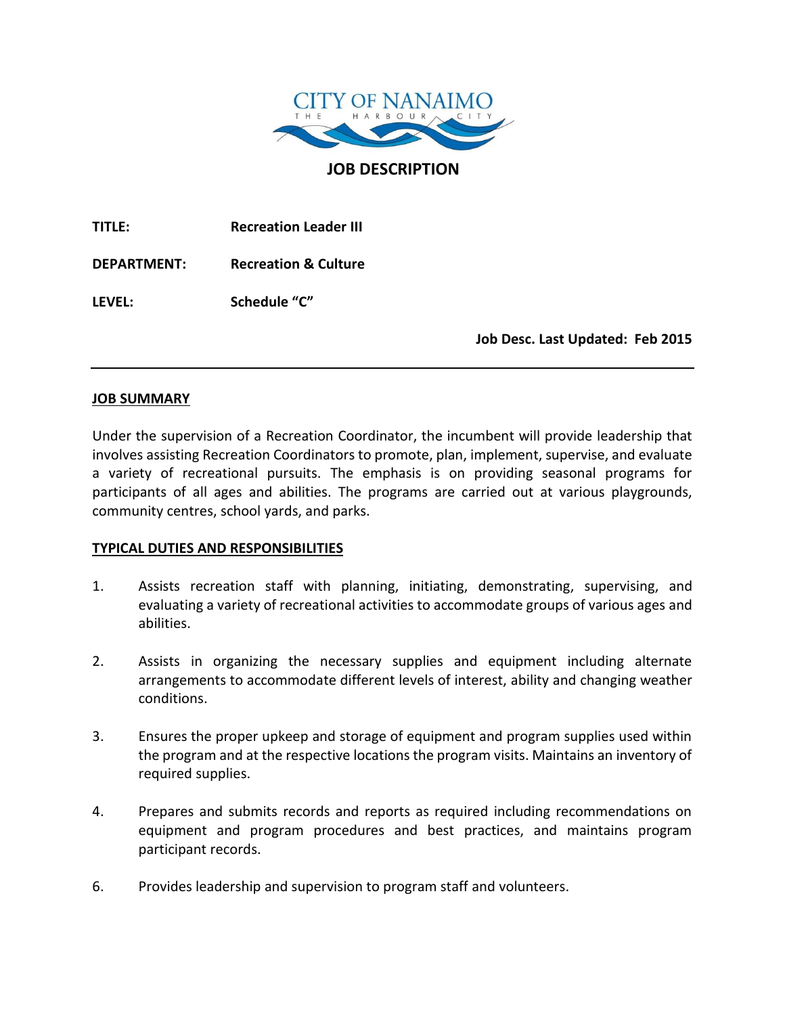

**JOB DESCRIPTION**

**TITLE: Recreation Leader III**

**DEPARTMENT: Recreation & Culture**

**LEVEL: Schedule "C"**

**Job Desc. Last Updated: Feb 2015**

#### **JOB SUMMARY**

Under the supervision of a Recreation Coordinator, the incumbent will provide leadership that involves assisting Recreation Coordinators to promote, plan, implement, supervise, and evaluate a variety of recreational pursuits. The emphasis is on providing seasonal programs for participants of all ages and abilities. The programs are carried out at various playgrounds, community centres, school yards, and parks.

#### **TYPICAL DUTIES AND RESPONSIBILITIES**

- 1. Assists recreation staff with planning, initiating, demonstrating, supervising, and evaluating a variety of recreational activities to accommodate groups of various ages and abilities.
- 2. Assists in organizing the necessary supplies and equipment including alternate arrangements to accommodate different levels of interest, ability and changing weather conditions.
- 3. Ensures the proper upkeep and storage of equipment and program supplies used within the program and at the respective locations the program visits. Maintains an inventory of required supplies.
- 4. Prepares and submits records and reports as required including recommendations on equipment and program procedures and best practices, and maintains program participant records.
- 6. Provides leadership and supervision to program staff and volunteers.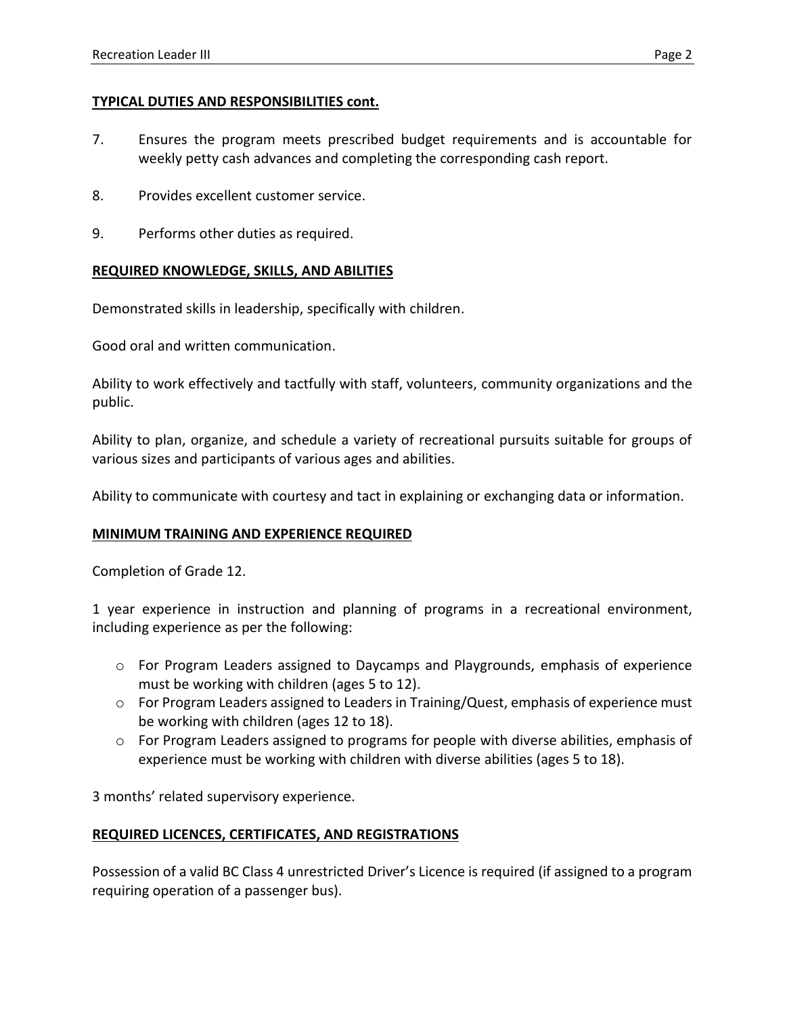## **TYPICAL DUTIES AND RESPONSIBILITIES cont.**

- 7. Ensures the program meets prescribed budget requirements and is accountable for weekly petty cash advances and completing the corresponding cash report.
- 8. Provides excellent customer service.
- 9. Performs other duties as required.

# **REQUIRED KNOWLEDGE, SKILLS, AND ABILITIES**

Demonstrated skills in leadership, specifically with children.

Good oral and written communication.

Ability to work effectively and tactfully with staff, volunteers, community organizations and the public.

Ability to plan, organize, and schedule a variety of recreational pursuits suitable for groups of various sizes and participants of various ages and abilities.

Ability to communicate with courtesy and tact in explaining or exchanging data or information.

### **MINIMUM TRAINING AND EXPERIENCE REQUIRED**

Completion of Grade 12.

1 year experience in instruction and planning of programs in a recreational environment, including experience as per the following:

- o For Program Leaders assigned to Daycamps and Playgrounds, emphasis of experience must be working with children (ages 5 to 12).
- $\circ$  For Program Leaders assigned to Leaders in Training/Quest, emphasis of experience must be working with children (ages 12 to 18).
- $\circ$  For Program Leaders assigned to programs for people with diverse abilities, emphasis of experience must be working with children with diverse abilities (ages 5 to 18).

3 months' related supervisory experience.

### **REQUIRED LICENCES, CERTIFICATES, AND REGISTRATIONS**

Possession of a valid BC Class 4 unrestricted Driver's Licence is required (if assigned to a program requiring operation of a passenger bus).